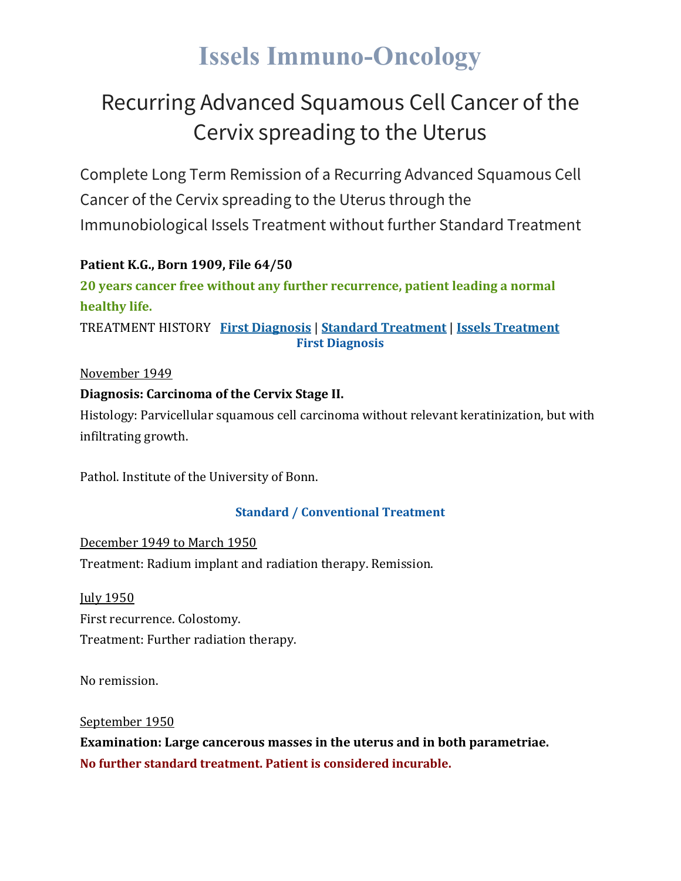# **Issels Immuno-Oncology**

# Recurring Advanced Squamous Cell Cancer of the Cervix spreading to the Uterus

Complete Long Term Remission of a Recurring Advanced Squamous Cell Cancer of the Cervix spreading to the Uterus through the Immunobiological Issels Treatment without further Standard Treatment

### **Patient K.G., Born 1909, File 64/50**

**20 years cancer free without any further recurrence, patient leading a normal healthy life.**

TREATMENT HISTORY **First [Diagnosis](https://issels.com/cancer-cases/squamous-cell-2-recurring-advanced-squamous-cell-cervical-cancer-spreading-to-uterus/#First)** | **Standard [Treatment](https://issels.com/cancer-cases/squamous-cell-2-recurring-advanced-squamous-cell-cervical-cancer-spreading-to-uterus/#Standard)** | **Issels [Treatment](https://issels.com/cancer-cases/squamous-cell-2-recurring-advanced-squamous-cell-cervical-cancer-spreading-to-uterus/#Issels) First Diagnosis**

### November 1949

### **Diagnosis: Carcinoma of the Cervix Stage II.**

Histology: Parvicellular squamous cell carcinoma without relevant keratinization, but with infiltrating growth.

Pathol. Institute of the University of Bonn.

### **Standard / Conventional Treatment**

December 1949 to March 1950 Treatment: Radium implant and radiation therapy. Remission.

July 1950 First recurrence. Colostomy. Treatment: Further radiation therapy.

No remission.

September 1950

**Examination: Large cancerous masses in the uterus and in both parametriae. No further standard treatment. Patient is considered incurable.**